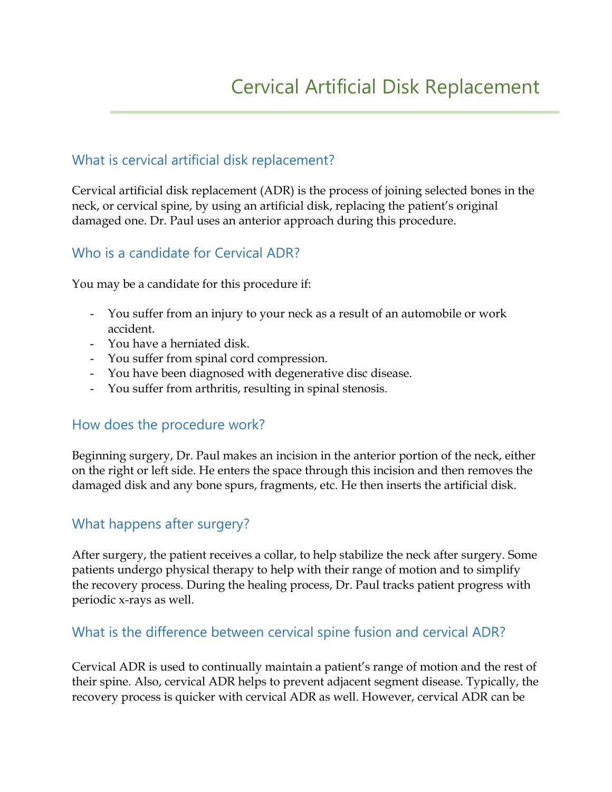# What is cervical artificial disk replacement?

Cervical artificial disk replacement (ADR) is the process of joining selected bones in the neck, or cervical spine, by using an artificial disk, replacing the patient's original damaged one. Dr. Paul uses an anterior approach during this procedure.

## Who is a candidate for Cervical ADR?

You may be a candidate for this procedure if:

- You suffer from an injury to your neck as a result of an automobile or work accident.
- You have a herniated disk.
- You suffer from spinal cord compression.
- You have been diagnosed with degenerative disc disease.
- You suffer from arthritis, resulting in spinal stenosis.

### How does the procedure work?

Beginning surgery, Dr. Paul makes an incision in the anterior portion of the neck, either on the right or left side. He enters the space through this incision and then removes the damaged disk and any bone spurs, fragments, etc. He then inserts the artificial disk.

### What happens after surgery?

After surgery, the patient receives a collar, to help stabilize the neck after surgery. Some patients undergo physical therapy to help with their range of motion and to simplify the recovery process. During the healing process, Dr. Paul tracks patient progress with periodic x-rays as well.

## What is the difference between cervical spine fusion and cervical ADR?

Cervical ADR is used to continually maintain a patient's range of motion and the rest of their spine. Also, cervical ADR helps to prevent adjacent segment disease. Typically, the recovery process is quicker with cervical ADR as well. However, cervical ADR can be